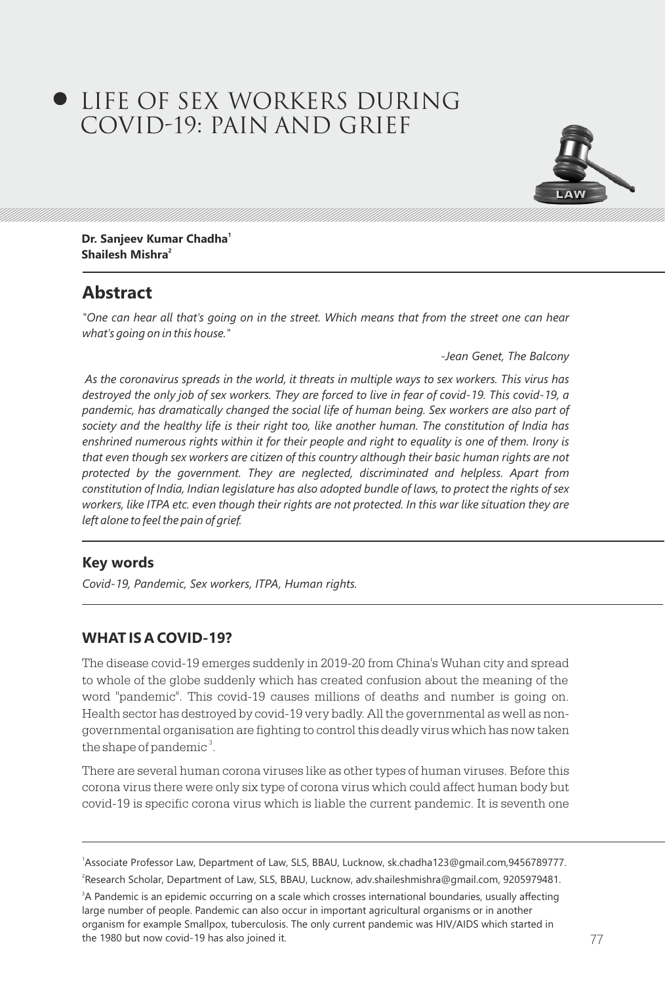# LIFE OF SEX WORKERS DURING COVID-19: PAIN AND GRIEF



**<sup>1</sup> Dr. Sanjeev Kumar Chadha 2 Shailesh Mishra**

## **Abstract**

*"One can hear all that's going on in the street. Which means that from the street one can hear what's going on in this house."*

 *-Jean Genet, The Balcony*

*As the coronavirus spreads in the world, it threats in multiple ways to sex workers. This virus has destroyed the only job of sex workers. They are forced to live in fear of covid-19. This covid-19, a*  pandemic, has dramatically changed the social life of human being. Sex workers are also part of *society and the healthy life is their right too, like another human. The constitution of India has enshrined numerous rights within it for their people and right to equality is one of them. Irony is that even though sex workers are citizen of this country although their basic human rights are not protected by the government. They are neglected, discriminated and helpless. Apart from constitution of India, Indian legislature has also adopted bundle of laws, to protect the rights of sex workers, like ITPA etc. even though their rights are not protected. In this war like situation they are left alone to feel the pain of grief.* 

## **Key words**

*Covid-19, Pandemic, Sex workers, ITPA, Human rights.* 

## **WHAT IS A COVID-19?**

The disease covid-19 emerges suddenly in 2019-20 from China's Wuhan city and spread to whole of the globe suddenly which has created confusion about the meaning of the word "pandemic". This covid-19 causes millions of deaths and number is going on. Health sector has destroyed by covid-19 very badly. All the governmental as well as nongovernmental organisation are fighting to control this deadly virus which has now taken the shape of pandemic $^3$ .

There are several human corona viruses like as other types of human viruses. Before this corona virus there were only six type of corona virus which could affect human body but covid-19 is specific corona virus which is liable the current pandemic. It is seventh one

<sup>3</sup>A Pandemic is an epidemic occurring on a scale which crosses international boundaries, usually affecting large number of people. Pandemic can also occur in important agricultural organisms or in another organism for example Smallpox, tuberculosis. The only current pandemic was HIV/AIDS which started in the 1980 but now covid-19 has also joined it.

<sup>1</sup> Associate Professor Law, Department of Law, SLS, BBAU, Lucknow, sk.chadha123@gmail.com,9456789777. 2 Research Scholar, Department of Law, SLS, BBAU, Lucknow, adv.shaileshmishra@gmail.com, 9205979481.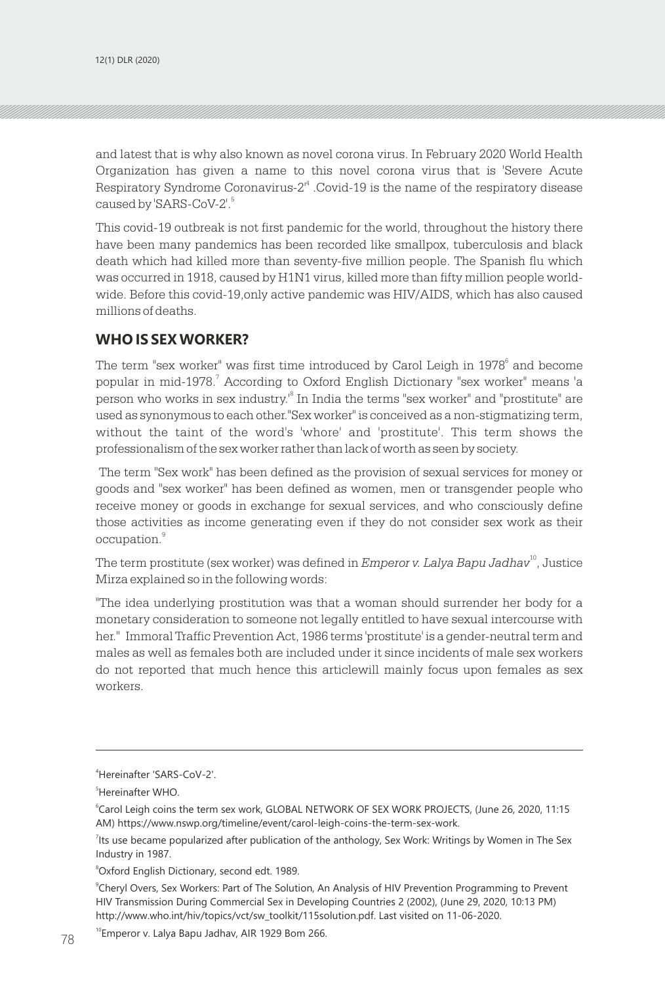and latest that is why also known as novel corona virus. In February 2020 World Health Organization has given a name to this novel corona virus that is 'Severe Acute Respiratory Syndrome Coronavirus- $2<sup>4</sup>$ . Covid-19 is the name of the respiratory disease caused by 'SARS-CoV-2'.<sup>5</sup>

This covid-19 outbreak is not first pandemic for the world, throughout the history there have been many pandemics has been recorded like smallpox, tuberculosis and black death which had killed more than seventy-five million people. The Spanish flu which was occurred in 1918, caused by H1N1 virus, killed more than fifty million people worldwide. Before this covid-19,only active pandemic was HIV/AIDS, which has also caused millions of deaths.

## **WHO IS SEX WORKER?**

The term "sex worker" was first time introduced by Carol Leigh in  $1978^{\circ}$  and become popular in mid-1978. According to Oxford English Dictionary "sex worker" means 'a <sup>7</sup> person who works in sex industry.<sup>8</sup> In India the terms "sex worker" and "prostitute" are used as synonymous to each other."Sex worker" is conceived as a non-stigmatizing term, without the taint of the word's 'whore' and 'prostitute'. This term shows the professionalism of the sex worker rather than lack of worth as seen by society.

 The term "Sex work" has been defined as the provision of sexual services for money or goods and "sex worker" has been defined as women, men or transgender people who receive money or goods in exchange for sexual services, and who consciously define those activities as income generating even if they do not consider sex work as their occupation.<sup>9</sup>

The term prostitute (sex worker) was defined in *Emperor v. Lalya Bapu Jadhav*<sup>10</sup>, Justice Mirza explained so in the following words:

"The idea underlying prostitution was that a woman should surrender her body for a monetary consideration to someone not legally entitled to have sexual intercourse with her." Immoral Traffic Prevention Act, 1986 terms 'prostitute' is a gender-neutral term and males as well as females both are included under it since incidents of male sex workers do not reported that much hence this articlewill mainly focus upon females as sex workers.

<sup>8</sup>Oxford English Dictionary, second edt. 1989.

9 Cheryl Overs, Sex Workers: Part of The Solution, An Analysis of HIV Prevention Programming to Prevent HIV Transmission During Commercial Sex in Developing Countries 2 (2002), (June 29, 2020, 10:13 PM) http://www.who.int/hiv/topics/vct/sw\_toolkit/115solution.pdf. Last visited on 11-06-2020.

<sup>10</sup>Emperor v. Lalya Bapu Jadhav, AIR 1929 Bom 266.

<sup>4</sup>Hereinafter 'SARS-CoV-2'.

<sup>5</sup>Hereinafter WHO.

<sup>6</sup> Carol Leigh coins the term sex work, GLOBAL NETWORK OF SEX WORK PROJECTS, (June 26, 2020, 11:15 AM) https://www.nswp.org/timeline/event/carol-leigh-coins-the-term-sex-work.

<sup>&</sup>lt;sup>7</sup>lts use became popularized after publication of the anthology, Sex Work: Writings by Women in The Sex Industry in 1987.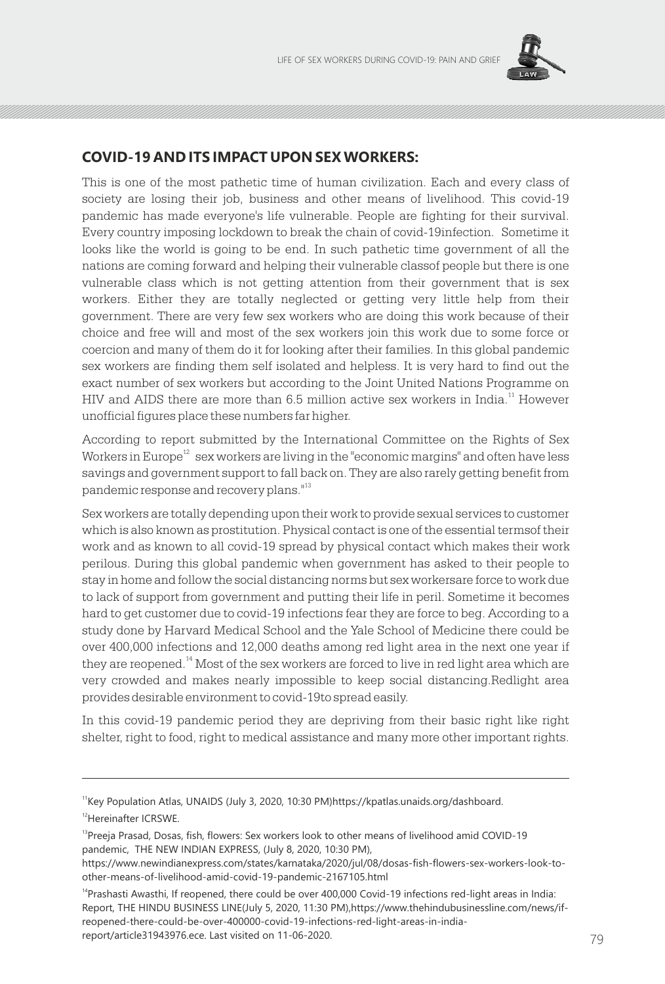

## **COVID-19 AND ITS IMPACT UPON SEX WORKERS:**

This is one of the most pathetic time of human civilization. Each and every class of society are losing their job, business and other means of livelihood. This covid-19 pandemic has made everyone's life vulnerable. People are fighting for their survival. Every country imposing lockdown to break the chain of covid-19infection. Sometime it looks like the world is going to be end. In such pathetic time government of all the nations are coming forward and helping their vulnerable classof people but there is one vulnerable class which is not getting attention from their government that is sex workers. Either they are totally neglected or getting very little help from their government. There are very few sex workers who are doing this work because of their choice and free will and most of the sex workers join this work due to some force or coercion and many of them do it for looking after their families. In this global pandemic sex workers are finding them self isolated and helpless. It is very hard to find out the exact number of sex workers but according to the Joint United Nations Programme on  $HIV$  and AIDS there are more than 6.5 million active sex workers in India.<sup>11</sup> However unofficial figures place these numbers far higher.

According to report submitted by the International Committee on the Rights of Sex Workers in Europe<sup>12</sup> sex workers are living in the "economic margins" and often have less savings and government support to fall back on. They are also rarely getting benefit from pandemic response and recovery plans."<sup>13</sup>

Sex workers are totally depending upon their work to provide sexual services to customer which is also known as prostitution. Physical contact is one of the essential termsof their work and as known to all covid-19 spread by physical contact which makes their work perilous. During this global pandemic when government has asked to their people to stay in home and follow the social distancing norms but sex workersare force to work due to lack of support from government and putting their life in peril. Sometime it becomes hard to get customer due to covid-19 infections fear they are force to beg. According to a study done by Harvard Medical School and the Yale School of Medicine there could be over 400,000 infections and 12,000 deaths among red light area in the next one year if they are reopened. $^{14}$  Most of the sex workers are forced to live in red light area which are very crowded and makes nearly impossible to keep social distancing.Redlight area provides desirable environment to covid-19to spread easily.

In this covid-19 pandemic period they are depriving from their basic right like right shelter, right to food, right to medical assistance and many more other important rights.

<sup>&</sup>lt;sup>11</sup>Key Population Atlas, UNAIDS (July 3, 2020, 10:30 PM)https://kpatlas.unaids.org/dashboard.

<sup>12</sup>Hereinafter ICRSWE.

<sup>&</sup>lt;sup>13</sup>Preeja Prasad, Dosas, fish, flowers: Sex workers look to other means of livelihood amid COVID-19 pandemic, THE NEW INDIAN EXPRESS, (July 8, 2020, 10:30 PM),

https://www.newindianexpress.com/states/karnataka/2020/jul/08/dosas-fish-flowers-sex-workers-look-toother-means-of-livelihood-amid-covid-19-pandemic-2167105.html

<sup>&</sup>lt;sup>14</sup>Prashasti Awasthi, If reopened, there could be over 400,000 Covid-19 infections red-light areas in India: Report, THE HINDU BUSINESS LINE(July 5, 2020, 11:30 PM),https://www.thehindubusinessline.com/news/ifreopened-there-could-be-over-400000-covid-19-infections-red-light-areas-in-indiareport/article31943976.ece. Last visited on 11-06-2020.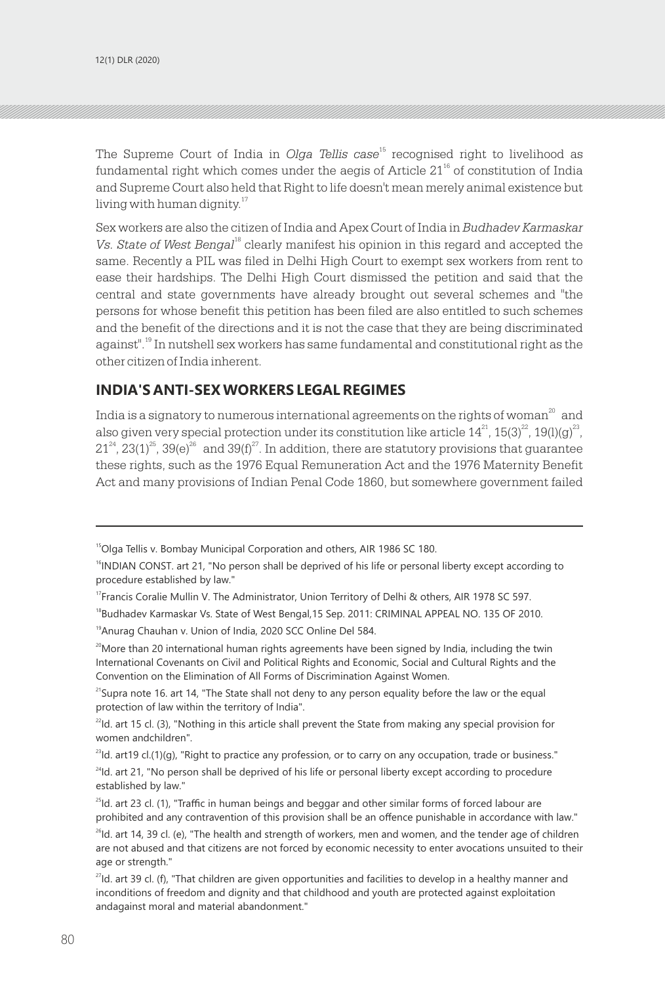The Supreme Court of India in *Olga Tellis case*<sup>15</sup> recognised right to livelihood as fundamental right which comes under the aegis of Article  $21<sup>16</sup>$  of constitution of India and Supreme Court also held that Right to life doesn't mean merely animal existence but living with human dignity. 17

Sex workers are also the citizen of India and Apex Court of India in *Budhadev Karmaskar*  Vs. State of West Bengal<sup>18</sup> clearly manifest his opinion in this regard and accepted the same. Recently a PIL was filed in Delhi High Court to exempt sex workers from rent to ease their hardships. The Delhi High Court dismissed the petition and said that the central and state governments have already brought out several schemes and "the persons for whose benefit this petition has been filed are also entitled to such schemes and the benefit of the directions and it is not the case that they are being discriminated against".<sup>19</sup> In nutshell sex workers has same fundamental and constitutional right as the other citizen of India inherent.

## **INDIA'S ANTI-SEX WORKERS LEGAL REGIMES**

India is a signatory to numerous international agreements on the rights of woman<sup>20</sup> and also given very special protection under its constitution like article  $14^{21}$ ,  $15(3)^{22}$ ,  $19(l)(g)^{23}$ ,  $21^{24}$ ,  $23(1)^{25}$ ,  $39(e)^{26}$  and  $39(f)^{27}$ . In addition, there are statutory provisions that guarantee these rights, such as the 1976 Equal Remuneration Act and the 1976 Maternity Benefit Act and many provisions of Indian Penal Code 1860, but somewhere government failed

<sup>19</sup> Anurag Chauhan v. Union of India, 2020 SCC Online Del 584.

<sup>20</sup>More than 20 international human rights agreements have been signed by India, including the twin International Covenants on Civil and Political Rights and Economic, Social and Cultural Rights and the Convention on the Elimination of All Forms of Discrimination Against Women.

<sup>21</sup>Supra note 16. art 14, "The State shall not deny to any person equality before the law or the equal protection of law within the territory of India".

 $^{22}$ Id. art 15 cl. (3), "Nothing in this article shall prevent the State from making any special provision for women andchildren".

 $^{23}$ Id. art19 cl.(1)(g), "Right to practice any profession, or to carry on any occupation, trade or business."  $^{24}$ Id. art 21, "No person shall be deprived of his life or personal liberty except according to procedure established by law."

<sup>&</sup>lt;sup>15</sup>Olga Tellis v. Bombay Municipal Corporation and others, AIR 1986 SC 180.

<sup>&</sup>lt;sup>16</sup>INDIAN CONST. art 21, "No person shall be deprived of his life or personal liberty except according to procedure established by law."

<sup>&</sup>lt;sup>17</sup> Francis Coralie Mullin V. The Administrator, Union Territory of Delhi & others, AIR 1978 SC 597.

<sup>&</sup>lt;sup>18</sup>Budhadev Karmaskar Vs. State of West Bengal, 15 Sep. 2011: CRIMINAL APPEAL NO. 135 OF 2010.

 $^{25}$ Id. art 23 cl. (1), "Traffic in human beings and beggar and other similar forms of forced labour are prohibited and any contravention of this provision shall be an offence punishable in accordance with law."  $^{26}$ Id. art 14, 39 cl. (e), "The health and strength of workers, men and women, and the tender age of children are not abused and that citizens are not forced by economic necessity to enter avocations unsuited to their age or strength."

<sup>&</sup>lt;sup>27</sup>Id. art 39 cl. (f), "That children are given opportunities and facilities to develop in a healthy manner and inconditions of freedom and dignity and that childhood and youth are protected against exploitation andagainst moral and material abandonment."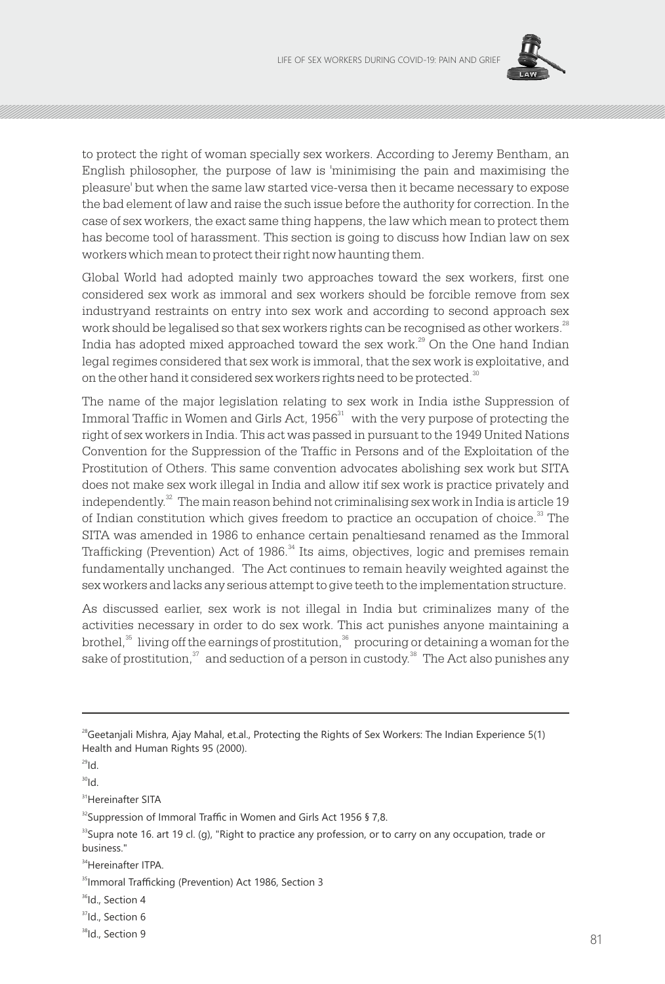

to protect the right of woman specially sex workers. According to Jeremy Bentham, an English philosopher, the purpose of law is 'minimising the pain and maximising the pleasure' but when the same law started vice-versa then it became necessary to expose the bad element of law and raise the such issue before the authority for correction. In the case of sex workers, the exact same thing happens, the law which mean to protect them has become tool of harassment. This section is going to discuss how Indian law on sex workers which mean to protect their right now haunting them.

Global World had adopted mainly two approaches toward the sex workers, first one considered sex work as immoral and sex workers should be forcible remove from sex industryand restraints on entry into sex work and according to second approach sex work should be legalised so that sex workers rights can be recognised as other workers. $^{28}$ India has adopted mixed approached toward the sex work. $^{29}$  On the One hand Indian legal regimes considered that sex work is immoral, that the sex work is exploitative, and on the other hand it considered sex workers rights need to be protected.<sup>30</sup>

The name of the major legislation relating to sex work in India isthe Suppression of Immoral Traffic in Women and Girls Act,  $1956<sup>31</sup>$  with the very purpose of protecting the right of sex workers in India. This act was passed in pursuant to the 1949 United Nations Convention for the Suppression of the Traffic in Persons and of the Exploitation of the Prostitution of Others. This same convention advocates abolishing sex work but SITA does not make sex work illegal in India and allow itif sex work is practice privately and independently. $32$  The main reason behind not criminalising sex work in India is article 19 of Indian constitution which gives freedom to practice an occupation of choice.<sup>33</sup> The SITA was amended in 1986 to enhance certain penaltiesand renamed as the Immoral Trafficking (Prevention) Act of 1986. $^{34}$  Its aims, objectives, logic and premises remain fundamentally unchanged. The Act continues to remain heavily weighted against the sex workers and lacks any serious attempt to give teeth to the implementation structure.

As discussed earlier, sex work is not illegal in India but criminalizes many of the activities necessary in order to do sex work. This act punishes anyone maintaining a brothel, $35$  living off the earnings of prostitution,  $36$  procuring or detaining a woman for the sake of prostitution, $^{\scriptscriptstyle 37}$  and seduction of a person in custody. $^{\scriptscriptstyle 38}$  The Act also punishes any

<sup>31</sup>Hereinafter SITA

- <sup>36</sup>Id., Section 4
- <sup>37</sup>Id., Section 6

<sup>&</sup>lt;sup>28</sup>Geetanjali Mishra, Ajay Mahal, et.al., Protecting the Rights of Sex Workers: The Indian Experience 5(1) Health and Human Rights 95 (2000).

 $29$ <sub>Id.</sub>

 $bl^{08}$ 

<sup>&</sup>lt;sup>32</sup> Suppression of Immoral Traffic in Women and Girls Act 1956 § 7,8.

<sup>&</sup>lt;sup>33</sup>Supra note 16. art 19 cl. (g), "Right to practice any profession, or to carry on any occupation, trade or business."

**<sup>34</sup>**Hereinafter ITPA

<sup>&</sup>lt;sup>35</sup>Immoral Trafficking (Prevention) Act 1986, Section 3

<sup>&</sup>lt;sup>38</sup>Id., Section 9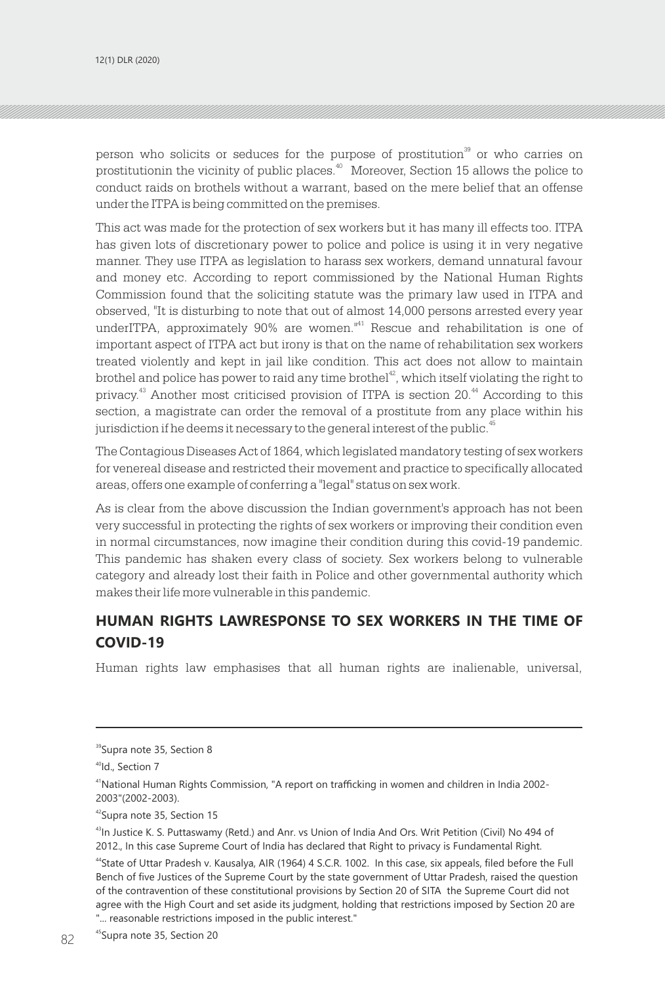person who solicits or seduces for the purpose of prostitution<sup>39</sup> or who carries on prostitutionin the vicinity of public places.<sup>40</sup> Moreover, Section 15 allows the police to conduct raids on brothels without a warrant, based on the mere belief that an offense under the ITPA is being committed on the premises.

This act was made for the protection of sex workers but it has many ill effects too. ITPA has given lots of discretionary power to police and police is using it in very negative manner. They use ITPA as legislation to harass sex workers, demand unnatural favour and money etc. According to report commissioned by the National Human Rights Commission found that the soliciting statute was the primary law used in ITPA and observed, "It is disturbing to note that out of almost 14,000 persons arrested every year underITPA, approximately 90% are women."<sup>41</sup> Rescue and rehabilitation is one of important aspect of ITPA act but irony is that on the name of rehabilitation sex workers treated violently and kept in jail like condition. This act does not allow to maintain brothel and police has power to raid any time brothel<sup> $42$ </sup>, which itself violating the right to privacy.<sup>43</sup> Another most criticised provision of ITPA is section  $20<sup>44</sup>$  According to this section, a magistrate can order the removal of a prostitute from any place within his jurisdiction if he deems it necessary to the general interest of the public.<sup>45</sup>

The Contagious Diseases Act of 1864, which legislated mandatory testing of sex workers for venereal disease and restricted their movement and practice to specifically allocated areas, offers one example of conferring a "legal" status on sex work.

As is clear from the above discussion the Indian government's approach has not been very successful in protecting the rights of sex workers or improving their condition even in normal circumstances, now imagine their condition during this covid-19 pandemic. This pandemic has shaken every class of society. Sex workers belong to vulnerable category and already lost their faith in Police and other governmental authority which makes their life more vulnerable in this pandemic.

## **HUMAN RIGHTS LAWRESPONSE TO SEX WORKERS IN THE TIME OF COVID-19**

Human rights law emphasises that all human rights are inalienable, universal,

<sup>&</sup>lt;sup>39</sup>Supra note 35, Section 8

<sup>&</sup>lt;sup>40</sup>Id., Section 7

<sup>41</sup>National Human Rights Commission, "A report on trafficking in women and children in India 2002- 2003"(2002-2003).

<sup>&</sup>lt;sup>42</sup>Supra note 35, Section 15

<sup>&</sup>lt;sup>43</sup>In Justice K. S. Puttaswamy (Retd.) and Anr. vs Union of India And Ors. Writ Petition (Civil) No 494 of 2012., In this case Supreme Court of India has declared that Right to privacy is Fundamental Right. <sup>44</sup>State of Uttar Pradesh v. Kausalya, AIR (1964) 4 S.C.R. 1002. In this case, six appeals, filed before the Full Bench of five Justices of the Supreme Court by the state government of Uttar Pradesh, raised the question of the contravention of these constitutional provisions by Section 20 of SITA the Supreme Court did not agree with the High Court and set aside its judgment, holding that restrictions imposed by Section 20 are "... reasonable restrictions imposed in the public interest."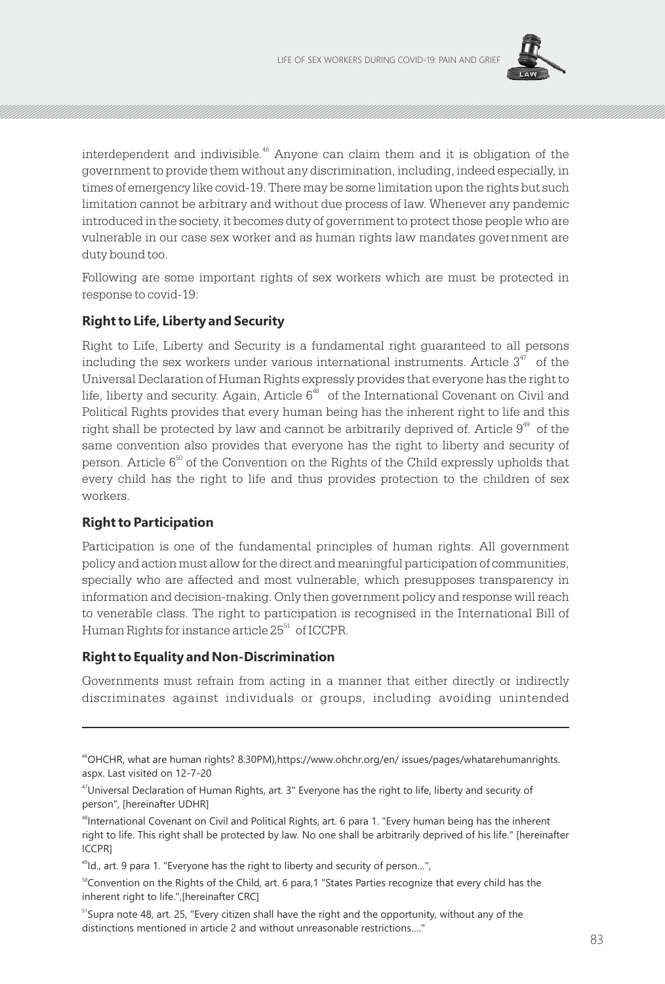

interdependent and indivisible.<sup>46</sup> Anyone can claim them and it is obligation of the government to provide them without any discrimination, including, indeed especially, in times of emergency like covid-19. There may be some limitation upon the rights but such limitation cannot be arbitrary and without due process of law. Whenever any pandemic introduced in the society, it becomes duty of government to protect those people who are vulnerable in our case sex worker and as human rights law mandates government are duty bound too.

Following are some important rights of sex workers which are must be protected in response to covid-19:

#### **Right to Life, Liberty and Security**

Right to Life, Liberty and Security is a fundamental right guaranteed to all persons including the sex workers under various international instruments. Article  $3^{47}$  of the Universal Declaration of Human Rights expressly provides that everyone has the right to life, liberty and security. Again, Article  $6^{48}$  of the International Covenant on Civil and Political Rights provides that every human being has the inherent right to life and this right shall be protected by law and cannot be arbitrarily deprived of. Article  $9^{49}$  of the same convention also provides that everyone has the right to liberty and security of person. Article  $6^{50}$  of the Convention on the Rights of the Child expressly upholds that every child has the right to life and thus provides protection to the children of sex workers.

#### **Right to Participation**

Participation is one of the fundamental principles of human rights. All government policy and action must allow for the direct and meaningful participation of communities, specially who are affected and most vulnerable, which presupposes transparency in information and decision-making. Only then government policy and response will reach to venerable class. The right to participation is recognised in the International Bill of Human Rights for instance article 25<sup>51</sup> of ICCPR.

#### **Right to Equality and Non-Discrimination**

Governments must refrain from acting in a manner that either directly or indirectly discriminates against individuals or groups, including avoiding unintended

<sup>46</sup>OHCHR, what are human rights? 8:30PM),https://www.ohchr.org/en/ issues/pages/whatarehumanrights. aspx. Last visited on 12-7-20

 $47$ Universal Declaration of Human Rights, art. 3" Everyone has the right to life, liberty and security of person", [hereinafter UDHR]

<sup>48</sup>International Covenant on Civil and Political Rights, art. 6 para 1. "Every human being has the inherent right to life. This right shall be protected by law. No one shall be arbitrarily deprived of his life." [hereinafter ICCPR]

 $49$ Id., art. 9 para 1. "Everyone has the right to liberty and security of person...",

 $50^{\circ}$ Convention on the Rights of the Child, art. 6 para,1 "States Parties recognize that every child has the inherent right to life.",[hereinafter CRC]

 $51$ Supra note 48, art. 25, "Every citizen shall have the right and the opportunity, without any of the distinctions mentioned in article 2 and without unreasonable restrictions…."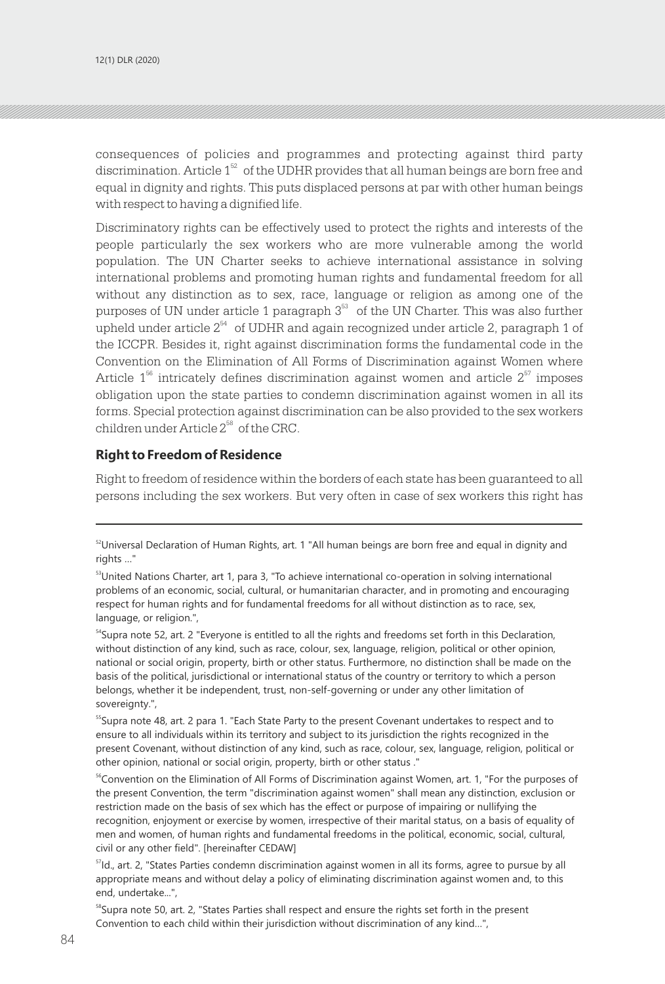consequences of policies and programmes and protecting against third party discrimination. Article  $1<sup>52</sup>$  of the UDHR provides that all human beings are born free and equal in dignity and rights. This puts displaced persons at par with other human beings with respect to having a dignified life.

Discriminatory rights can be effectively used to protect the rights and interests of the people particularly the sex workers who are more vulnerable among the world population. The UN Charter seeks to achieve international assistance in solving international problems and promoting human rights and fundamental freedom for all without any distinction as to sex, race, language or religion as among one of the purposes of UN under article 1 paragraph  $3<sup>53</sup>$  of the UN Charter. This was also further upheld under article  $2^{54}$  of UDHR and again recognized under article 2, paragraph 1 of the ICCPR. Besides it, right against discrimination forms the fundamental code in the Convention on the Elimination of All Forms of Discrimination against Women where Article  $1^{56}$  intricately defines discrimination against women and article  $2^{57}$  imposes obligation upon the state parties to condemn discrimination against women in all its forms. Special protection against discrimination can be also provided to the sex workers children under Article  $2^{58}$  of the CRC.

#### **Right to Freedom of Residence**

Right to freedom of residence within the borders of each state has been guaranteed to all persons including the sex workers. But very often in case of sex workers this right has

<sup>55</sup>Supra note 48, art. 2 para 1. "Each State Party to the present Covenant undertakes to respect and to ensure to all individuals within its territory and subject to its jurisdiction the rights recognized in the present Covenant, without distinction of any kind, such as race, colour, sex, language, religion, political or other opinion, national or social origin, property, birth or other status ."

<sup>56</sup>Convention on the Elimination of All Forms of Discrimination against Women, art. 1, "For the purposes of the present Convention, the term "discrimination against women" shall mean any distinction, exclusion or restriction made on the basis of sex which has the effect or purpose of impairing or nullifying the recognition, enjoyment or exercise by women, irrespective of their marital status, on a basis of equality of men and women, of human rights and fundamental freedoms in the political, economic, social, cultural, civil or any other field". [hereinafter CEDAW]

<sup>57</sup>Id., art. 2, "States Parties condemn discrimination against women in all its forms, agree to pursue by all appropriate means and without delay a policy of eliminating discrimination against women and, to this end, undertake...",

 $58$ Supra note 50, art. 2, "States Parties shall respect and ensure the rights set forth in the present Convention to each child within their jurisdiction without discrimination of any kind…",

 $52$ Universal Declaration of Human Rights, art. 1 "All human beings are born free and equal in dignity and rights …"

<sup>&</sup>lt;sup>53</sup>United Nations Charter, art 1, para 3, "To achieve international co-operation in solving international problems of an economic, social, cultural, or humanitarian character, and in promoting and encouraging respect for human rights and for fundamental freedoms for all without distinction as to race, sex, language, or religion.",

 $54$ Supra note 52, art. 2 "Everyone is entitled to all the rights and freedoms set forth in this Declaration, without distinction of any kind, such as race, colour, sex, language, religion, political or other opinion, national or social origin, property, birth or other status. Furthermore, no distinction shall be made on the basis of the political, jurisdictional or international status of the country or territory to which a person belongs, whether it be independent, trust, non-self-governing or under any other limitation of sovereignty.",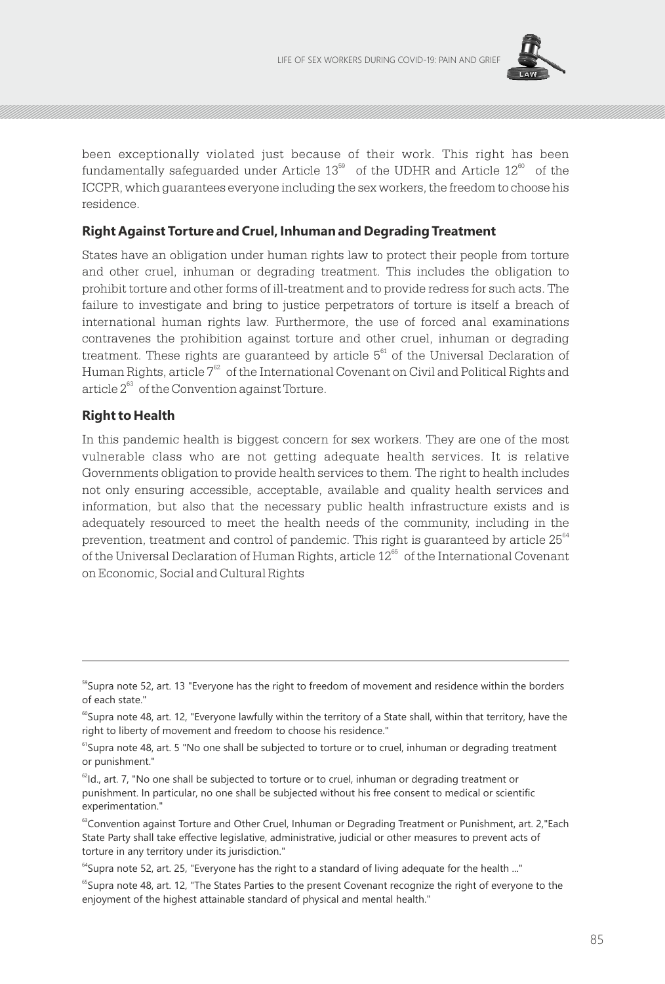

been exceptionally violated just because of their work. This right has been fundamentally safeguarded under Article  $13^{59}$  of the UDHR and Article  $12^{60}$  of the ICCPR, which guarantees everyone including the sex workers, the freedom to choose his residence.

#### **Right Against Torture and Cruel, Inhuman and Degrading Treatment**

States have an obligation under human rights law to protect their people from torture and other cruel, inhuman or degrading treatment. This includes the obligation to prohibit torture and other forms of ill-treatment and to provide redress for such acts. The failure to investigate and bring to justice perpetrators of torture is itself a breach of international human rights law. Furthermore, the use of forced anal examinations contravenes the prohibition against torture and other cruel, inhuman or degrading treatment. These rights are guaranteed by article  $5<sup>61</sup>$  of the Universal Declaration of Human Rights, article  $7^{62}$  of the International Covenant on Civil and Political Rights and article  $2^{63}$  of the Convention against Torture.

#### **Right to Health**

In this pandemic health is biggest concern for sex workers. They are one of the most vulnerable class who are not getting adequate health services. It is relative Governments obligation to provide health services to them. The right to health includes not only ensuring accessible, acceptable, available and quality health services and information, but also that the necessary public health infrastructure exists and is adequately resourced to meet the health needs of the community, including in the prevention, treatment and control of pandemic. This right is guaranteed by article  $25^{\scriptscriptstyle 64}$ of the Universal Declaration of Human Rights, article  $12<sup>65</sup>$  of the International Covenant on Economic, Social and Cultural Rights

<sup>&</sup>lt;sup>59</sup>Supra note 52, art. 13 "Everyone has the right to freedom of movement and residence within the borders of each state."

 $60$ Supra note 48, art. 12, "Everyone lawfully within the territory of a State shall, within that territory, have the right to liberty of movement and freedom to choose his residence."

<sup>&</sup>lt;sup>61</sup>Supra note 48, art. 5 "No one shall be subjected to torture or to cruel, inhuman or degrading treatment or punishment."

 $62$ Id., art. 7, "No one shall be subjected to torture or to cruel, inhuman or degrading treatment or punishment. In particular, no one shall be subjected without his free consent to medical or scientific experimentation."

<sup>&</sup>lt;sup>63</sup>Convention against Torture and Other Cruel, Inhuman or Degrading Treatment or Punishment, art. 2, "Each State Party shall take effective legislative, administrative, judicial or other measures to prevent acts of torture in any territory under its jurisdiction."

 $^{64}$ Supra note 52, art. 25, "Everyone has the right to a standard of living adequate for the health ..."

<sup>&</sup>lt;sup>65</sup>Supra note 48, art. 12, "The States Parties to the present Covenant recognize the right of everyone to the enjoyment of the highest attainable standard of physical and mental health."